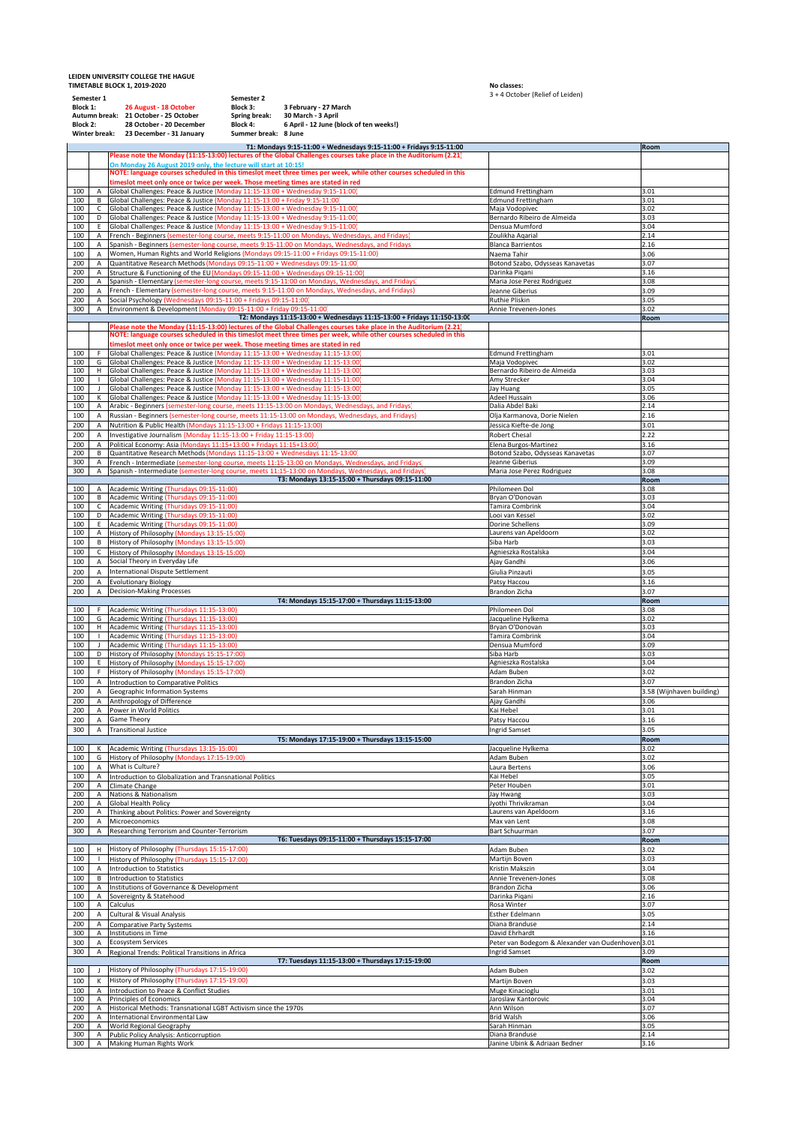**LEIDEN UNIVERSITY COLLEGE THE HAGUE TIMETABLE BLOCK 1, 2019‐2020 No classes:**

No classes:<br>3 + 4 October (Relief of Leiden)

| Semester 1<br>Block 1:<br><b>Block 2:</b><br>Winter break: |                                                         | Semester 2<br>26 August - 18 October<br>Block 3:<br>Autumn break: 21 October - 25 October<br>28 October - 20 December<br>Block 4:<br>23 December - 31 January                                     | <b>A ACCADEL TUCTICI DI ECIDEII</b><br>3 February - 27 March<br>Spring break:<br>30 March - 3 April<br>6 April - 12 June (block of ten weeks!)<br>Summer break: 8 June                   |                                                                |                           |  |  |
|------------------------------------------------------------|---------------------------------------------------------|---------------------------------------------------------------------------------------------------------------------------------------------------------------------------------------------------|------------------------------------------------------------------------------------------------------------------------------------------------------------------------------------------|----------------------------------------------------------------|---------------------------|--|--|
|                                                            |                                                         |                                                                                                                                                                                                   | T1: Mondays 9:15-11:00 + Wednesdays 9:15-11:00 + Fridays 9:15-11:00<br>Please note the Monday (11:15-13:00) lectures of the Global Challenges courses take place in the Auditorium (2.21 |                                                                | Room                      |  |  |
|                                                            |                                                         | On Monday 26 August 2019 only, the lecture will start at 10:15!                                                                                                                                   |                                                                                                                                                                                          |                                                                |                           |  |  |
|                                                            |                                                         |                                                                                                                                                                                                   | NOTE: language courses scheduled in this timeslot meet three times per week, while other courses scheduled in this                                                                       |                                                                |                           |  |  |
| 100                                                        | А                                                       | timeslot meet only once or twice per week. Those meeting times are stated in red<br>Global Challenges: Peace & Justice (Monday 11:15-13:00 + Wednesday 9:15-11:00)                                |                                                                                                                                                                                          | <b>Edmund Frettingham</b>                                      | 3.01                      |  |  |
| 100                                                        | В                                                       | Global Challenges: Peace & Justice (Monday 11:15-13:00 + Friday 9:15-11:00)                                                                                                                       |                                                                                                                                                                                          | <b>Edmund Frettingham</b>                                      | 3.01                      |  |  |
| 100<br>100                                                 | C<br>D                                                  | Global Challenges: Peace & Justice (Monday 11:15-13:00 + Wednesday 9:15-11:00)<br>Global Challenges: Peace & Justice (Monday 11:15-13:00 + Wednesday 9:15-11:00)                                  |                                                                                                                                                                                          | Maja Vodopivec<br>Bernardo Ribeiro de Almeida                  | 3.02<br>3.03              |  |  |
| 100                                                        | Ε                                                       | Global Challenges: Peace & Justice (Monday 11:15-13:00 + Wednesday 9:15-11:00)                                                                                                                    |                                                                                                                                                                                          | Densua Mumford                                                 | 3.04                      |  |  |
| 100<br>100                                                 | Α<br>Α                                                  | French - Beginners (semester-long course, meets 9:15-11:00 on Mondays, Wednesdays, and Fridays<br>Spanish - Beginners (semester-long course, meets 9:15-11:00 on Mondays, Wednesdays, and Fridays |                                                                                                                                                                                          | Zoulikha Agarial<br><b>Blanca Barrientos</b>                   | 2.14<br>2.16              |  |  |
| 100                                                        | А                                                       | Women, Human Rights and World Religions (Mondays 09:15-11:00 + Fridays 09:15-11:00)                                                                                                               |                                                                                                                                                                                          | Naema Tahir                                                    | 3.06                      |  |  |
| 200                                                        | А                                                       | Quantitative Research Methods (Mondays 09:15-11:00 + Wednesdays 09:15-11:00)                                                                                                                      |                                                                                                                                                                                          | Botond Szabo, Odysseas Kanavetas                               | 3.07                      |  |  |
| 200<br>200                                                 | А<br>А                                                  | Structure & Functioning of the EU (Mondays 09:15-11:00 + Wednesdays 09:15-11:00)<br>Spanish - Elementary (semester-long course, meets 9:15-11:00 on Mondays, Wednesdays, and Fridays)             |                                                                                                                                                                                          | Darinka Piqani<br>Maria Jose Perez Rodriguez                   | 3.16<br>3.08              |  |  |
| 200                                                        | Α                                                       | French - Elementary (semester-long course, meets 9:15-11:00 on Mondays, Wednesdays, and Fridays)                                                                                                  |                                                                                                                                                                                          | Jeanne Giberius                                                | 3.09                      |  |  |
| 200                                                        | А                                                       | Social Psychology (Wednesdays 09:15-11:00 + Fridays 09:15-11:00)                                                                                                                                  |                                                                                                                                                                                          | Ruthie Pliskin                                                 | 3.05                      |  |  |
| 300                                                        | $\overline{A}$                                          | Environment & Development (Monday 09:15-11:00 + Friday 09:15-11:00)                                                                                                                               | T2: Mondays 11:15-13:00 + Wednesdays 11:15-13:00 + Fridays 11:150-13:00                                                                                                                  | Annie Trevenen-Jones                                           | 3.02<br>Room              |  |  |
|                                                            |                                                         |                                                                                                                                                                                                   | Please note the Monday (11:15-13:00) lectures of the Global Challenges courses take place in the Auditorium (2.21                                                                        |                                                                |                           |  |  |
|                                                            |                                                         | timeslot meet only once or twice per week. Those meeting times are stated in red                                                                                                                  | NOTE: language courses scheduled in this timeslot meet three times per week, while other courses scheduled in this                                                                       |                                                                |                           |  |  |
| 100                                                        | F                                                       | Global Challenges: Peace & Justice (Monday 11:15-13:00 + Wednesday 11:15-13:00)                                                                                                                   |                                                                                                                                                                                          | <b>Edmund Frettingham</b>                                      | 3.01                      |  |  |
| 100                                                        | G                                                       | Global Challenges: Peace & Justice (Monday 11:15-13:00 + Wednesday 11:15-13:00)                                                                                                                   |                                                                                                                                                                                          | Maja Vodopivec                                                 | 3.02                      |  |  |
| 100<br>100                                                 | H<br>$\mathbf{I}$                                       | Global Challenges: Peace & Justice (Monday 11:15-13:00 + Wednesday 11:15-13:00)<br>Global Challenges: Peace & Justice (Monday 11:15-13:00 + Wednesday 11:15-11:00                                 |                                                                                                                                                                                          | Bernardo Ribeiro de Almeida<br>Amy Strecker                    | 3.03<br>3.04              |  |  |
| 100                                                        | $\mathbf{I}$                                            | Global Challenges: Peace & Justice (Monday 11:15-13:00 + Wednesday 11:15-13:00)                                                                                                                   |                                                                                                                                                                                          | <b>Jay Huang</b>                                               | 3.05                      |  |  |
| 100<br>100                                                 | к<br>А                                                  | Global Challenges: Peace & Justice (Monday 11:15-13:00 + Wednesday 11:15-13:00)<br>Arabic - Beginners (semester-long course, meets 11:15-13:00 on Mondays, Wednesdays, and Fridays                |                                                                                                                                                                                          | Adeel Hussain<br>Dalia Abdel Baki                              | 3.06<br>2.14              |  |  |
| 100                                                        | Α                                                       | Russian - Beginners (semester-long course, meets 11:15-13:00 on Mondays, Wednesdays, and Fridays)                                                                                                 |                                                                                                                                                                                          | Olja Karmanova, Dorie Nielen                                   | 2.16                      |  |  |
| 200                                                        | $\overline{A}$                                          | Nutrition & Public Health (Mondays 11:15-13:00 + Fridays 11:15-13:00)                                                                                                                             |                                                                                                                                                                                          | Jessica Kiefte-de Jong                                         | 3.01                      |  |  |
| 200<br>200                                                 | А<br>А                                                  | Investigative Journalism (Monday 11:15-13:00 + Friday 11:15-13:00)<br>Political Economy: Asia (Mondays 11:15+13:00 + Fridays 11:15+13:00)                                                         |                                                                                                                                                                                          | Robert Chesal<br>Elena Burgos-Martinez                         | 2.22<br>3.16              |  |  |
| 200                                                        | В                                                       | Quantitative Research Methods (Mondays 11:15-13:00 + Wednesdays 11:15-13:00)                                                                                                                      |                                                                                                                                                                                          | Botond Szabo, Odysseas Kanavetas                               | 3.07                      |  |  |
| 300                                                        | А                                                       | French - Intermediate (semester-long course, meets 11:15-13:00 on Mondays, Wednesdays, and Fridays                                                                                                |                                                                                                                                                                                          | Jeanne Giberius                                                | 3.09                      |  |  |
| 300                                                        | $\mathsf{A}$                                            | Spanish - Intermediate (semester-long course, meets 11:15-13:00 on Mondays, Wednesdays, and Fridays                                                                                               | T3: Mondays 13:15-15:00 + Thursdays 09:15-11:00                                                                                                                                          | Maria Jose Perez Rodriguez                                     | 3.08<br>Room              |  |  |
| 100                                                        | A                                                       | Academic Writing (Thursdays 09:15-11:00)                                                                                                                                                          |                                                                                                                                                                                          | Philomeen Dol                                                  | 3.08                      |  |  |
| 100<br>100                                                 | В<br>c                                                  | Academic Writing (Thursdays 09:15-11:00)<br>Academic Writing (Thursdays 09:15-11:00)                                                                                                              |                                                                                                                                                                                          | Bryan O'Donovan<br>Tamira Combrink                             | 3.03<br>3.04              |  |  |
| 100                                                        | D                                                       | Academic Writing (Thursdays 09:15-11:00)                                                                                                                                                          |                                                                                                                                                                                          | Looi van Kessel                                                | 3.02                      |  |  |
| 100                                                        | E                                                       | Academic Writing (Thursdays 09:15-11:00)                                                                                                                                                          |                                                                                                                                                                                          | Dorine Schellens                                               | 3.09                      |  |  |
| 100<br>100                                                 | Α<br>B                                                  | History of Philosophy (Mondays 13:15-15:00)<br>History of Philosophy (Mondays 13:15-15:00)                                                                                                        |                                                                                                                                                                                          | Laurens van Apeldoorn<br>Siba Harb                             | 3.02<br>3.03              |  |  |
| 100                                                        | c                                                       | History of Philosophy (Mondays 13:15-15:00)                                                                                                                                                       |                                                                                                                                                                                          | Agnieszka Rostalska                                            | 3.04                      |  |  |
| 100                                                        | Α                                                       | Social Theory in Everyday Life                                                                                                                                                                    |                                                                                                                                                                                          | Ajay Gandhi                                                    | 3.06                      |  |  |
| 200<br>200                                                 | $\overline{A}$<br>Α                                     | International Dispute Settlement                                                                                                                                                                  |                                                                                                                                                                                          | Giulia Pinzauti                                                | 3.05                      |  |  |
| 200                                                        | А                                                       | <b>Evolutionary Biology</b><br>Decision-Making Processes                                                                                                                                          |                                                                                                                                                                                          | Patsy Haccou<br>Brandon Zicha                                  | 3.16<br>3.07              |  |  |
|                                                            | T4: Mondays 15:15-17:00 + Thursdays 11:15-13:00<br>Room |                                                                                                                                                                                                   |                                                                                                                                                                                          |                                                                |                           |  |  |
| 100<br>100                                                 | F<br>G                                                  | Academic Writing (Thursdays 11:15-13:00)<br>Academic Writing (Thursdays 11:15-13:00)                                                                                                              |                                                                                                                                                                                          | Philomeen Dol<br>Jacqueline Hylkema                            | 3.08<br>3.02              |  |  |
| 100                                                        | H                                                       | Academic Writing (Thursdays 11:15-13:00)                                                                                                                                                          |                                                                                                                                                                                          | Bryan O'Donovan                                                | 3.03                      |  |  |
| 100                                                        | $\mathsf{I}$                                            | Academic Writing (Thursdays 11:15-13:00)                                                                                                                                                          |                                                                                                                                                                                          | Tamira Combrink                                                | 3.04                      |  |  |
| 100<br>100                                                 | $\mathbf{I}$<br>D                                       | Academic Writing (Thursdays 11:15-13:00)<br>History of Philosophy (Mondays 15:15-17:00)                                                                                                           |                                                                                                                                                                                          | Densua Mumford<br>Siba Harb                                    | 3.09<br>3.03              |  |  |
| 100                                                        | Ε                                                       | History of Philosophy (Mondays 15:15-17:00)                                                                                                                                                       |                                                                                                                                                                                          | Agnieszka Rostalska                                            | 3.04                      |  |  |
| 100<br>100                                                 | F<br>Α                                                  | History of Philosophy (Mondays 15:15-17:00)                                                                                                                                                       |                                                                                                                                                                                          | Adam Buben<br>Brandon Zicha                                    | 3.02<br>3.07              |  |  |
| 200                                                        | А                                                       | Introduction to Comparative Politics<br>Geographic Information Systems                                                                                                                            |                                                                                                                                                                                          | Sarah Hinman                                                   | 3.58 (Wijnhaven building) |  |  |
| 200                                                        | А                                                       | Anthropology of Difference                                                                                                                                                                        |                                                                                                                                                                                          | Ajay Gandhi                                                    | 3.06                      |  |  |
| 200                                                        | Α                                                       | Power in World Politics<br>Game Theory                                                                                                                                                            |                                                                                                                                                                                          | Kai Hebel                                                      | 3.01<br>3.16              |  |  |
| 200<br>300                                                 | А<br>A                                                  | <b>Transitional Justice</b>                                                                                                                                                                       |                                                                                                                                                                                          | Patsy Haccou<br>Ingrid Samset                                  | 3.05                      |  |  |
|                                                            |                                                         |                                                                                                                                                                                                   | T5: Mondays 17:15-19:00 + Thursdays 13:15-15:00                                                                                                                                          |                                                                | Room                      |  |  |
| 100                                                        | Κ                                                       | Academic Writing (Thursdays 13:15-15:00)                                                                                                                                                          |                                                                                                                                                                                          | Jacqueline Hylkema                                             | 3.02                      |  |  |
| 100<br>100                                                 | G<br>$\mathsf{A}$                                       | History of Philosophy (Mondays 17:15-19:00)<br>What is Culture?                                                                                                                                   |                                                                                                                                                                                          | Adam Buben<br>Laura Bertens                                    | 3.02<br>3.06              |  |  |
| 100                                                        | Α                                                       | Introduction to Globalization and Transnational Politics                                                                                                                                          |                                                                                                                                                                                          | <ai hebel<="" td=""><td>3.05</td></ai>                         | 3.05                      |  |  |
| 200<br>200                                                 | Α<br>$\mathsf{A}$                                       | Climate Change<br><b>Nations &amp; Nationalism</b>                                                                                                                                                |                                                                                                                                                                                          | Peter Houben<br>Jav Hwang                                      | 3.01<br>3.03              |  |  |
| 200                                                        | А                                                       | Global Health Policy                                                                                                                                                                              |                                                                                                                                                                                          | Jyothi Thrivikraman                                            | 3.04                      |  |  |
| 200                                                        | Α                                                       | Thinking about Politics: Power and Sovereignty                                                                                                                                                    |                                                                                                                                                                                          | Laurens van Apeldoorn                                          | 3.16                      |  |  |
| 200<br>300                                                 | Α<br>$\overline{A}$                                     | Microeconomics<br>Researching Terrorism and Counter-Terrorism                                                                                                                                     |                                                                                                                                                                                          | Max van Lent<br>Bart Schuurman                                 | 3.08<br>3.07              |  |  |
|                                                            |                                                         |                                                                                                                                                                                                   | T6: Tuesdays 09:15-11:00 + Thursdays 15:15-17:00                                                                                                                                         |                                                                | Room                      |  |  |
| 100                                                        | н                                                       | History of Philosophy (Thursdays 15:15-17:00)                                                                                                                                                     |                                                                                                                                                                                          | Adam Buben                                                     | 3.02                      |  |  |
| 100<br>100                                                 | $\overline{A}$                                          | History of Philosophy (Thursdays 15:15-17:00)<br><b>Introduction to Statistics</b>                                                                                                                |                                                                                                                                                                                          | Martijn Boven<br>Kristin Makszin                               | 3.03<br>3.04              |  |  |
| 100                                                        | B                                                       | <b>Introduction to Statistics</b>                                                                                                                                                                 |                                                                                                                                                                                          | Annie Trevenen-Jones                                           | 3.08                      |  |  |
| 100                                                        | $\overline{A}$                                          | Institutions of Governance & Development                                                                                                                                                          |                                                                                                                                                                                          | Brandon Zicha                                                  | 3.06                      |  |  |
| 100<br>100                                                 | Α<br>Α                                                  | Sovereignty & Statehood<br>Calculus                                                                                                                                                               |                                                                                                                                                                                          | Darinka Piqani<br>Rosa Winter                                  | 2.16<br>3.07              |  |  |
| 200                                                        | А                                                       | Cultural & Visual Analysis                                                                                                                                                                        |                                                                                                                                                                                          | <b>Esther Edelmann</b>                                         | 3.05                      |  |  |
| 200                                                        | Α                                                       | Comparative Party Systems                                                                                                                                                                         |                                                                                                                                                                                          | Diana Branduse                                                 | 2.14                      |  |  |
| 300<br>300                                                 | Α<br>A                                                  | Institutions in Time<br><b>Ecosystem Services</b>                                                                                                                                                 |                                                                                                                                                                                          | David Ehrhardt<br>Peter van Bodegom & Alexander van Oudenhoven | 3.16<br>3.01              |  |  |
| 300                                                        | Α                                                       | Regional Trends: Political Transitions in Africa                                                                                                                                                  |                                                                                                                                                                                          | Ingrid Samset                                                  | 3.09                      |  |  |
|                                                            |                                                         |                                                                                                                                                                                                   | T7: Tuesdays 11:15-13:00 + Thursdays 17:15-19:00                                                                                                                                         |                                                                | Room                      |  |  |
| 100<br>100                                                 | $\mathbf{I}$<br>К                                       | History of Philosophy (Thursdays 17:15-19:00)<br>History of Philosophy (Thursdays 17:15-19:00)                                                                                                    |                                                                                                                                                                                          | Adam Buben<br>Martijn Boven                                    | 3.02<br>3.03              |  |  |
| 100                                                        | $\overline{A}$                                          | Introduction to Peace & Conflict Studies                                                                                                                                                          |                                                                                                                                                                                          | Muge Kinacioglu                                                | 3.01                      |  |  |
| 100                                                        | $\overline{A}$                                          | Principles of Economics                                                                                                                                                                           |                                                                                                                                                                                          | Jaroslaw Kantorovic                                            | 3.04                      |  |  |
| 200<br>200                                                 | $\mathsf{A}$<br>$\overline{A}$                          | Historical Methods: Transnational LGBT Activism since the 1970s<br>International Environmental Law                                                                                                |                                                                                                                                                                                          | Ann Wilson<br>Bríd Walsh                                       | 3.07<br>3.06              |  |  |
| 200                                                        | $\overline{A}$                                          | World Regional Geography                                                                                                                                                                          |                                                                                                                                                                                          | Sarah Hinman                                                   | 3.05                      |  |  |
| 300<br>300                                                 | А<br>А                                                  | Public Policy Analysis: Anticorruption<br>Making Human Rights Work                                                                                                                                |                                                                                                                                                                                          | Diana Branduse<br>Janine Ubink & Adriaan Bedner                | 2.14<br>3.16              |  |  |
|                                                            |                                                         |                                                                                                                                                                                                   |                                                                                                                                                                                          |                                                                |                           |  |  |